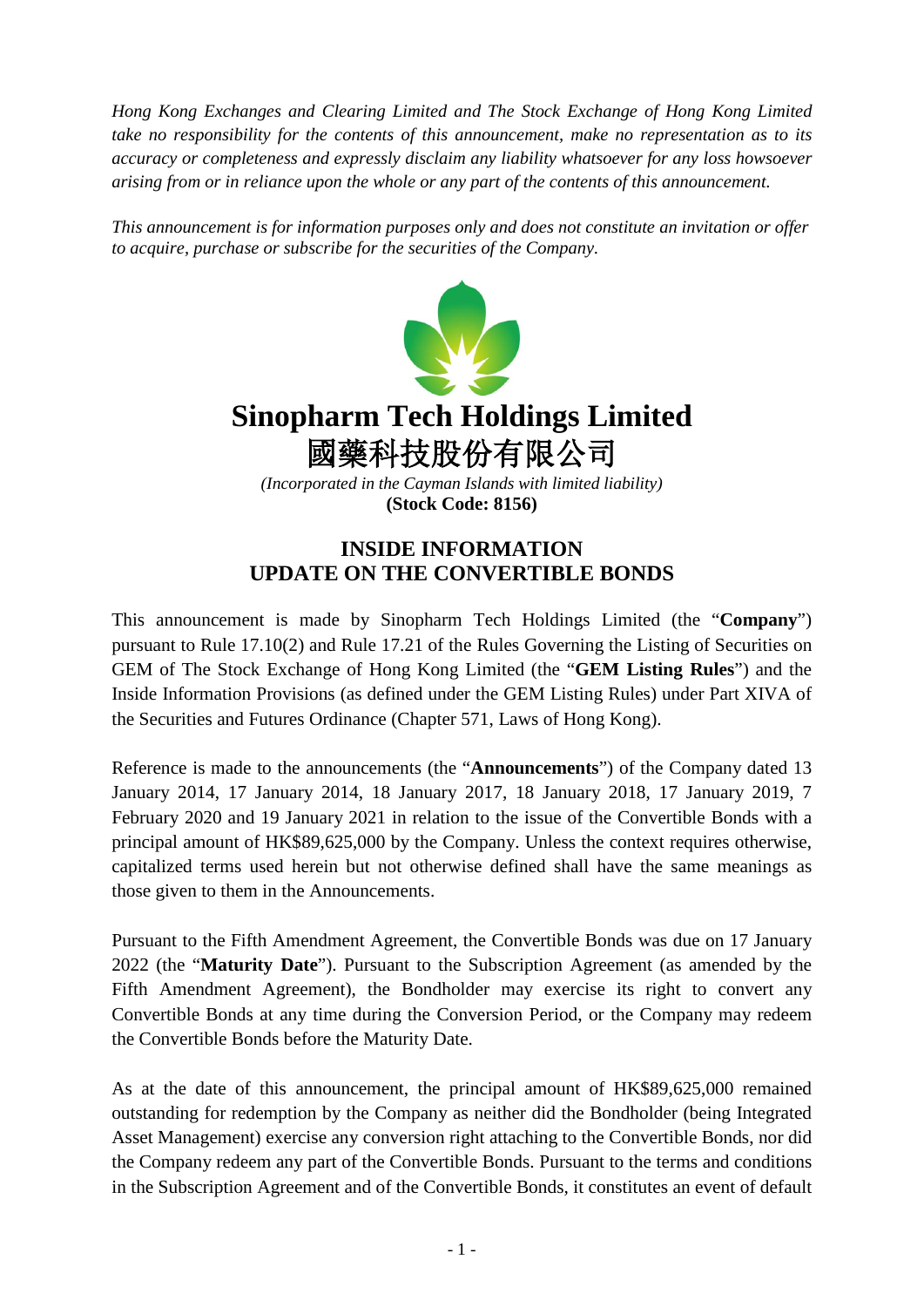*Hong Kong Exchanges and Clearing Limited and The Stock Exchange of Hong Kong Limited take no responsibility for the contents of this announcement, make no representation as to its accuracy or completeness and expressly disclaim any liability whatsoever for any loss howsoever arising from or in reliance upon the whole or any part of the contents of this announcement.*

*This announcement is for information purposes only and does not constitute an invitation or offer to acquire, purchase or subscribe for the securities of the Company.*



## **Sinopharm Tech Holdings Limited** 國藥科技股份有限公司

*(Incorporated in the Cayman Islands with limited liability)* **(Stock Code: 8156)**

## **INSIDE INFORMATION UPDATE ON THE CONVERTIBLE BONDS**

This announcement is made by Sinopharm Tech Holdings Limited (the "**Company**") pursuant to Rule 17.10(2) and Rule 17.21 of the Rules Governing the Listing of Securities on GEM of The Stock Exchange of Hong Kong Limited (the "**GEM Listing Rules**") and the Inside Information Provisions (as defined under the GEM Listing Rules) under Part XIVA of the Securities and Futures Ordinance (Chapter 571, Laws of Hong Kong).

Reference is made to the announcements (the "**Announcements**") of the Company dated 13 January 2014, 17 January 2014, 18 January 2017, 18 January 2018, 17 January 2019, 7 February 2020 and 19 January 2021 in relation to the issue of the Convertible Bonds with a principal amount of HK\$89,625,000 by the Company. Unless the context requires otherwise, capitalized terms used herein but not otherwise defined shall have the same meanings as those given to them in the Announcements.

Pursuant to the Fifth Amendment Agreement, the Convertible Bonds was due on 17 January 2022 (the "**Maturity Date**"). Pursuant to the Subscription Agreement (as amended by the Fifth Amendment Agreement), the Bondholder may exercise its right to convert any Convertible Bonds at any time during the Conversion Period, or the Company may redeem the Convertible Bonds before the Maturity Date.

As at the date of this announcement, the principal amount of HK\$89,625,000 remained outstanding for redemption by the Company as neither did the Bondholder (being Integrated Asset Management) exercise any conversion right attaching to the Convertible Bonds, nor did the Company redeem any part of the Convertible Bonds. Pursuant to the terms and conditions in the Subscription Agreement and of the Convertible Bonds, it constitutes an event of default